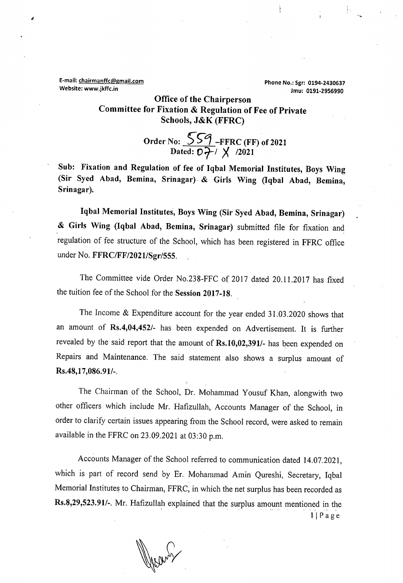E-mail: chairmanffc@gmail.com **Phone No.: Sgr: 0194-2430637** 

**Website: www.jkffc.in Jmu: 0191-2956990** 

**Office of the Chairperson Committee for Fixation & Regulation of Fee of Private Schools, J&K (FFRC)** 

> **Order No: 257 -FFRC (FF) of 2021 Dated:**  $\mathcal{O}$   $\overline{7}$  /  $\overline{)}$  / /2021

**Sub: Fixation and Regulation of fee of Iqbal Memorial Institutes, Boys Wing (Sir Syed Abad, Bemina, Srinagar).** & **Girls Wing (Iqbal Abad, Bemina, Srinagar);** 

Iqbal Memorial Institutes, Boys Wing (Sir Syed Abad, Bemina, Srinagar) & **Girls Wing (Iqbal Abad, Bemina, Srinagar)** submitted file for fixation and regulation of fee structure of the School, which has been registered in FFRC office under No. **FFRC/FF/2021/Sgr/555.** 

The Committee vide Order No.238-FFC of 2017 dated 20.11.2017 has fixed the tuition fee of the School for the **Session 2017-18.** 

The Income & Expenditure account for the year ended 31.03.2020 shows that an amount of **Rs.4,04,452/-** has been expended on Advertisement. It is further revealed by the said report that the amount of **Rs.10,02,391/-** has been expended on Repairs and Maintenance. The said statement also shows a surplus amount of **Rs.48,1 7,086.9 1/-.** 

The Chairman of the School, Dr. Mohammad Yousuf Khan, alongwith two other officers which include Mr. Hafizullah, Accounts Manager of the School, in order to clarify certain issues appearing from the School record, were asked to remain available in the FFRC on  $23.09.2021$  at  $03:30$  p.m.

Accounts Manager of the School referred to communication dated 14.07.2021, which is part of record send by Er. Mohammad Amin Qureshi, Secretary, Iqbal Memorial Institutes to Chairman, FFRC, in which the net surplus has been recorded as **Rs.8,29,523.91/-.** Mr. Hafizullah explained that the surplus amount mentioned in the  $1$ | Page

Verans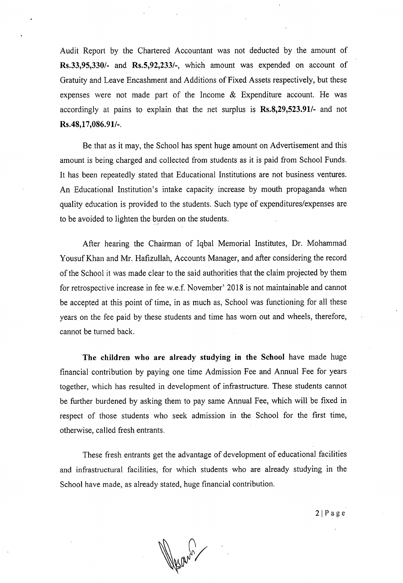Audit Report by the Chartered Accountant was not deducted by the amount of **Rs.33,95,330/-** and **Rs.5,92,233/-,** which amount was expended on account of Gratuity and Leave Encashment and Additions of Fixed Assets respectively, but these expenses were not made part of the Income & Expenditure account. He was accordingly at pains to explain that the net surplus is **Rs.8,29,523.91/-** and not **Rs.48,17,086.9 1/-.** 

Be that as it may, the School has spent huge amount on Advertisement and this amount is being charged and collected from students as it is paid from School Funds. It has been repeatedly stated that Educational Institutions are not business ventures. An Educational Institution's intake capacity increase by mouth propaganda when quality education is provided to the students. Such type of expenditures/expenses are to be avoided to lighten the burden on the students.

After hearing the Chairman of Iqbal Memorial Institutes, Dr. Mohammad Yousuf Khan and Mr. Hafizullah, Accounts Manager, and after considering the record of the School it was made clear to the said authorities that the claimprojected by them for retrospective increase in fee w.e.f. November' 2018 is not maintainable and cannot be accepted at this point of time, in as much as, School was functioning for all these years on the fee paid by these students and time has worn out and wheels, therefore, cannot be turned back.

**The children who are already studying in the School** have made huge financial contribution by paying one time Admission Fee and Annual Fee for years together, which has resulted in development of infrastructure. These students cannot be further burdened by asking them to pay same Annual Fee, which will be fixed in respect of those students who seek admission in the School for the first time, otherwise, called fresh entrants.

These fresh entrants get the advantage of development of educational facilities and infrastructural facilities, for which students who are already studying in the School have made, as already stated, huge financial contribution.

 $2|P$  a g e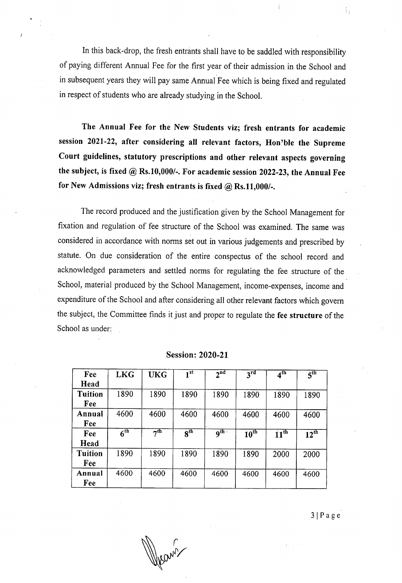In this back-drop, the fresh entrants shall have to be saddled with responsibility of paying different Annual Fee for the first year of their admission in the School and in subsequent years they will pay same Annual Fee which is being fixed and regulated in respect of students who are already studying in the School.

**The Annual Fee for the New Students viz; fresh entrants for academic session 2021-22, after considering all relevant factors, Hon'ble the Supreme Court guidelines, statutory prescriptions and other relevant aspects governing the subject, is fixed @ Rs.10,000/-. For academic session 2022-23, the Annual Fee for New Admissions viz; fresh entrants is fixed @ Rs.11,000/-.** 

The record produced and the justification given by the School Management for fixation and regulation of fee structure of the School was examined. The same was considered in accordance with norms set out in various judgements and prescribed by statute. On due consideration of the entire conspectus of the school record and acknowledged parameters and settled norms for regulating the fee structure of the School, material produced by the School Management, income-expenses, income and expenditure of the School and after considering all other relevant factors which govern the subject, the Committee finds it just and proper to regulate the **fee structure** of the School as under:

| Fee<br>Head           | <b>LKG</b>      | <b>UKG</b>      | 1st                 | 2 <sup>nd</sup>     | $3^{\overline{\text{rd}}}$ | 4 <sup>th</sup>  | $\overline{5}^{\text{th}}$ |
|-----------------------|-----------------|-----------------|---------------------|---------------------|----------------------------|------------------|----------------------------|
| <b>Tuition</b><br>Fee | 1890            | 1890            | 1890                | 1890                | 1890                       | 1890             | 1890                       |
| Annual<br>Fee         | 4600            | 4600            | 4600                | 4600                | 4600                       | 4600             | 4600                       |
| Fee<br>Head           | 6 <sup>th</sup> | 7 <sup>th</sup> | $\overline{8^{th}}$ | $\overline{9^{th}}$ | 10 <sup>th</sup>           | 11 <sup>th</sup> | $12^{\text{th}}$           |
| <b>Tuition</b><br>Fee | 1890            | 1890            | 1890                | 1890                | 1890                       | 2000             | 2000                       |
| Annual<br>Fee         | 4600            | 4600            | 4600                | 4600                | 4600                       | 4600             | 4600                       |

**Session: 2020-21** 

 $3 | P \nabla$ 

Ĥ,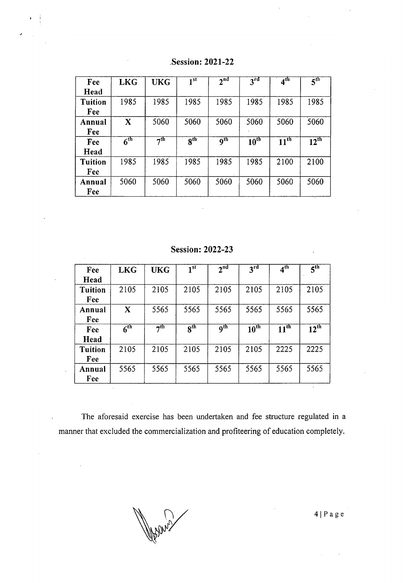| Fee            | <b>LKG</b>      | <b>UKG</b> | 1st             | 2 <sup>nd</sup>              | $3^{rd}$         | 4 <sup>th</sup>             | 5 <sup>th</sup> |
|----------------|-----------------|------------|-----------------|------------------------------|------------------|-----------------------------|-----------------|
| Head           |                 |            |                 |                              |                  |                             |                 |
| <b>Tuition</b> | 1985            | 1985       | 1985            | 1985                         | 1985             | 1985                        | 1985            |
| Fee            |                 |            |                 |                              |                  |                             |                 |
| Annual         | X               | 5060       | 5060            | 5060                         | 5060             | 5060                        | 5060            |
| Fee            |                 |            |                 |                              |                  |                             |                 |
| Fee            | 6 <sup>th</sup> | $\neg$ th  | 8 <sup>th</sup> | $\overline{9}$ <sup>th</sup> | $10^{\text{th}}$ | $\overline{11}^{\text{th}}$ | $12^{th}$       |
| Head           |                 |            |                 |                              |                  |                             |                 |
| <b>Tuition</b> | 1985            | 1985       | 1985            | 1985                         | 1985             | 2100                        | 2100            |
| Fee            |                 |            |                 |                              |                  |                             |                 |
| Annual         | 5060            | 5060       | 5060            | 5060                         | 5060             | 5060                        | 5060            |
| Fee            |                 |            |                 |                              |                  |                             |                 |

**Session: 2021-22** 

**Session: 2022-23** 

| <b>Session: 2022-23</b><br>$\bullet$ |                              |                     |                     |                 |                  |                  |                            |  |
|--------------------------------------|------------------------------|---------------------|---------------------|-----------------|------------------|------------------|----------------------------|--|
| Fee                                  | <b>LKG</b>                   | <b>UKG</b>          | 1 <sup>st</sup>     | 2 <sup>nd</sup> | 3 <sup>rd</sup>  | 4 <sup>th</sup>  | $\overline{5}^{\text{th}}$ |  |
| Head                                 |                              |                     |                     |                 |                  |                  |                            |  |
| <b>Tuition</b>                       | 2105                         | 2105                | 2105                | 2105            | 2105             | 2105             | 2105                       |  |
| Fee                                  |                              |                     |                     |                 |                  |                  |                            |  |
| Annual                               | X                            | 5565                | 5565                | 5565            | 5565             | 5565             | 5565                       |  |
| Fee                                  |                              |                     |                     |                 |                  |                  |                            |  |
| Fee                                  | $\overline{6}$ <sup>th</sup> | $\overline{7^{th}}$ | $\overline{s^{th}}$ | q <sup>th</sup> | 10 <sup>th</sup> | $11^{\text{th}}$ | $12^{\text{th}}$           |  |
| Head                                 |                              |                     |                     |                 |                  |                  |                            |  |
| <b>Tuition</b>                       | 2105                         | 2105                | 2105                | 2105            | 2105             | 2225             | 2225                       |  |
| Fee                                  |                              |                     |                     |                 |                  |                  |                            |  |
| Annual                               | 5565                         | 5565                | 5565                | 5565            | 5565             | 5565             | 5565                       |  |
| Fee                                  |                              |                     |                     |                 |                  |                  |                            |  |

The aforesaid exercise has been undertaken and fee structure regulated in a manner that excluded the commercialization and profiteering of education completely.

 $\ddot{\phantom{a}}$ 

 $\ddot{\phantom{a}}$ 

 $4 | P a g e$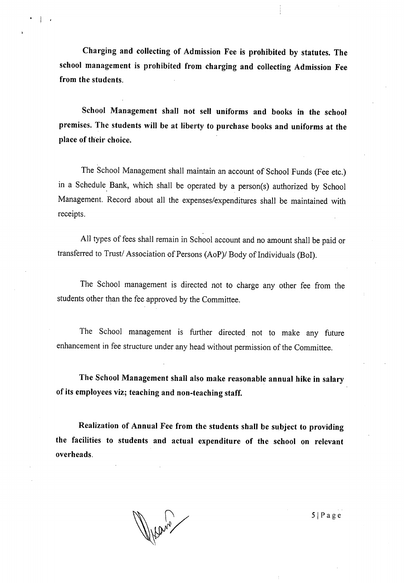**Charging and collecting of Admission Fee is prohibited by statutes. The school management is prohibited from charging and collecting Admission Fee from the students.** 

**School Management shall not sell uniforms and books in the school premises. The students will be at liberty to purchase books and uniforms at the place of their choice.** 

The School Management shall maintain an account of School Funds (Fee etc.) in a Schedule Bank, which shall be operated by a person(s) authorized by School Management. Record about all the expenses/expenditures shall be maintained with receipts.

All types of fees shall remain in School account and no amount shall be paid or transferred to Trust/ Association of Persons (AoP)/ Body of Individuals (BoI).

The School management is directed not to charge any other fee from the students other than the fee approved by the Committee.

The School management is further directed not to make any future enhancement in fee structure under any head without permission of the Committee.

**The School Management shall also make reasonable annual hike in salary of its employees viz; teaching and non-teaching staff.** 

**Realization of Annual Fee from the students shall be subject to providing the facilities to students and actual expenditure of the school on relevant overheads.** 

SI Page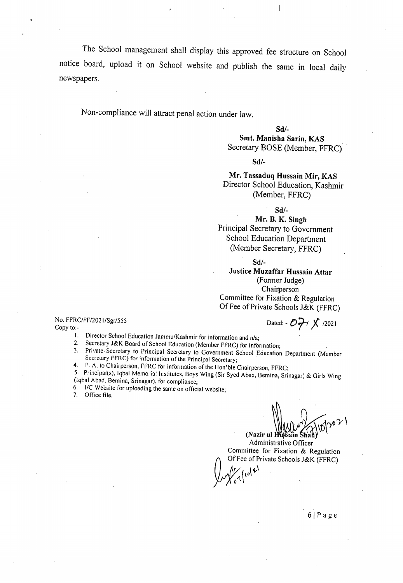The School management shall display this approved fee structure on School notice board, upload it on School website and publish the same in local daily newspapers.

Non-compliance will attract penal action under law.

**Sd/-** 

**Smt. Manisha Sarin, KAS**  Secretary BOSE (Member, FFRC)

**Sd!-** 

**Mr. Tassaduq Hussain Mir, KAS**  Director School Education, Kashmir (Member, FFRC)

**Sd!-** 

**Mr. B. K. Singh**  Principal Secretary to Government School Education Department (Member Secretary, FFRC)

**Sd!-** 

**Justice Muzaffar Hussain Attar**  (Former Judge) Chairperson Committee for Fixation & Regulation Of Fee of Private Schools J&K (FFRC)

No. FFRC/FF/2021/Sgr/555<br>Copy to:-

Dated:  $-77 \times 12021$ 

1. Director School Education Jammu/Kashmir for information and n/a;<br>2. Secretary J&K Board of School Education (Member EEPC) for information

Secretary J&K Board of School Education (Member FFRC) for information;

Private. Secretary to Principal Secretary to Government School Education Department (Member 3. Secretary FFRC) for information of the Principal Secretary;

4 P. A. to Chairperson. FFRC for information of the Hon'ble Chairperson, FFRC;

5. Principal(s), Iqbal Memorial Institutes, Boys Wing (Sir Syed Abad, Bemina, Srinagar) & Girls Wing (lqbal Abad, Bemina. Srinagar), for compliance;

I/C Website for uploading the same on official website;

7. Office file.

 $\bigcap$  $\left(\bigvee_{\text{Nazir ul Hussain Shah}}\bigvee_{\text{Shah}}\bigvee_{\text{O}}\bigvee_{\text{O}}\bigvee_{\text{O}}\bigvee_{\text{O}}\bigvee_{\text{O}}$ 

Administrative Officer Committee for Fixation & Regulation Of Fee of Private Schools J&K (FFRC)<br> $\sqrt{\frac{1}{6}}$ 

61 Page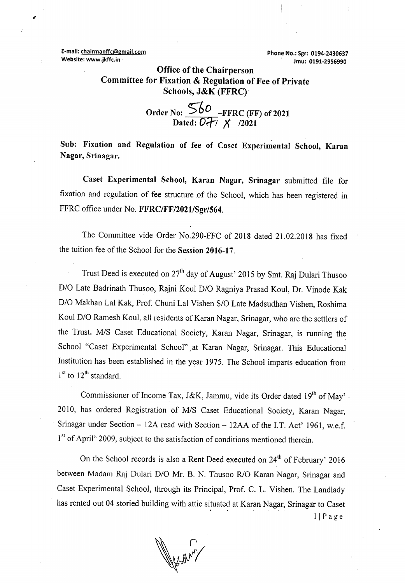**E-mail: chairmanffc@gmail.com Phone No.: Sgr: 0194-2430637** 

10

**Website: www.jkffc.in** 

## **Office of the Chairperson Committee for Fixation & Regulation of Fee of Private Schools,** J&K (FFRC)

**Order No: 5-60 —FFRC (FF) of 2021 DOI** - FERC (FF<br>Dated:  $\overline{OH}$  **/** /2021

**Sub: Fixation and Regulation of fee of Caset Experimental School, Karan Nagar, Srinagar.** 

**Caset Experimental School, Karan Nagar, Srinagar** submitted file for fixation and regulation of fee structure *.of* the School, which has been registered in FFRC office under No. **FFRC/FF/2021/Sgr/564.** 

The Committee vide Order No.290-FFC of 2018 dated 21.02.2018 has fixed the tuition fee of the School for the **Session 2016-17.** 

Trust Deed is executed on 27<sup>th</sup> day of August' 2015 by Smt. Raj Dulari Thusoo D/O Late Badrinath Thusoo, Rajni Koul D/O Ragniya Prasad Koul, Dr. Vinode Kak D/O Makhan Lal Kak, Prof. Chuni Lal Vishen S/0 Late Madsudhan Vishen, Roshima Koul D/O Ramesh Koul, all residents of Karan Nagar, Srinagar, who are the settlers of the Trust. M/S Caset Educational Society, Karan Nagar, Srinagar, is running the School "Caset Experimental School". at Karan Nagar, Srinagar. This Educational Institution has been established in the year *1975.* The School imparts education from  $1<sup>st</sup>$  to  $12<sup>th</sup>$  standard.

Commissioner of Income Tax, J&K, Jammu, vide its Order dated 19<sup>th</sup> of May'. 2010, has ordered Registration of M/S Caset Educational Society, Karan Nagar, Srinagar under Section - 12A read with Section - 12AA of the I.T. Act' 1961, w.e.f. 1<sup>st</sup> of April' 2009, subject to the satisfaction of conditions mentioned therein.

On the School records is also a Rent Deed executed on  $24<sup>th</sup>$  of February' 2016 between Madam Raj Dulari D/O Mr. B. N. Thusoo R/O Karan Nagar, Srinagar and Caset Experimental School, through its Principal, Prof. C. L. Vishen. The Landlady has rented out 04 storied building with attic situated at Karan Nagar, Srinagar to Caset  $1 | P a g e$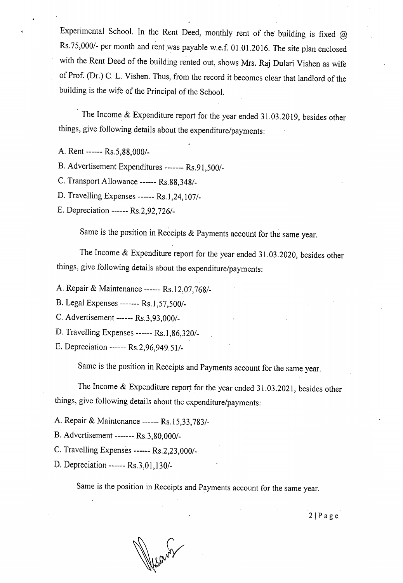Experimental School. In the Rent Deed, monthly rent of the building is fixed  $\omega$ Rs.75,000/- per month and rent was payable w.e.f. 01.01.2016. The site plan enclosed with the Rent Deed of the building rented out, shows Mrs. Raj Dulari Vishen as wife of Prof. (Dr.) C. L. Vishen. Thus, from the record it becomes clear that landlord of the building is the wife of the Principal of the School.

The Income & Expenditure report for the year ended 31.03.2019, besides other things, give following details about the expenditure/payments:

- A. Rent ------ Rs.5,88,000/-
- Advertisement Expenditures ------- *Rs.91,500/-*
- C. Transport Allowance ------ Rs.88,348/-
- D. Travelling Expenses ------ Rs. 1, 24, 107/-
- E. Depreciation ------ Rs.2,92,726/-

Same is the position in Receipts & Payments account for the same year.

The Income & Expenditure report for the year ended 31.03.2020, besides other things, give following details about the expenditure/payments:

Repair & Maintenance ------ Rs. 12,07,768/-

- Legal Expenses ------- *Rs. 1,57,500/-*
- C. Advertisement ------ Rs.3,93,000/-
- D. Travelling Expenses ------ Rs.1,86,320/-
- *Depreciation ------Rs.2,96,949.51/-*

Same is the position in Receipts and Payments account for the same year.

The Income & Expenditure report for the year ended 31.03.2021, besides other things, give following details about the expenditure/payments:

Repair & Maintenance ------ Rs.15,33,783/-

B. Advertisement ------- Rs.3,80,000/-

C. Travelling Expenses ------ Rs.2,23,000/-

D. Depreciation ------ Rs.3,01,130/-

Same is the position in Receipts and Payments account for the same year.

 $2 | P \text{ a } g \text{ e}$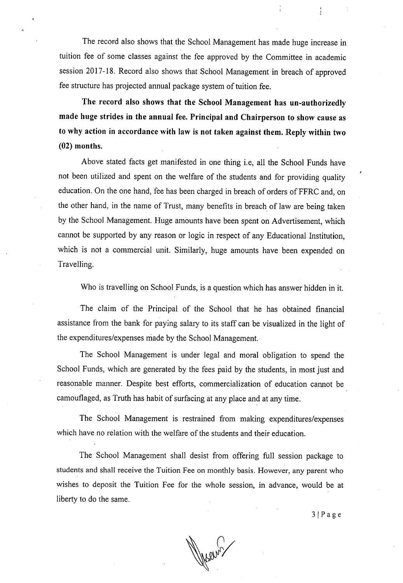The record also shows that the School Management has made huge increase in tuition fee of some classes against the fee approved by the Committee in academic session 2017-18. Record also shows that School Management in breach of approved fee structure has projected annual package system of tuition fee.

**The record also shows that the School Management has un-authorizedly made huge strides in the annual fee. Principal and Chairperson to show cause as to why action in accordance with law is not taken against them. Reply within two (02) months.** 

Above stated facts get manifested in one thing i.e, all the School Funds have not been utilized and spent on the welfare of the students and for providing quality education. On the one hand, fee has been charged in breach of orders of FFRC and, on the other hand, in the name of Trust, many benefits in breach of law are being taken by the School Management. Huge amounts have been spent on Advertisement, which cannot be supported by any reason or logic in respect of any Educational Institution, which is not a commercial unit. Similarly, huge amounts have been expended on Travelling.

Who is travelling on School Funds, is a question which has answer hidden in it.

The claim of the Principal of the School that he has obtained financial assistance from the bank for paying salary to its staff can be visualized in the light of the expenditures/expenses made by the School Management.

The School Management is under legal and moral obligation to spend the School Funds, which are generated by the fees paid by the students, in most just and reasonable manner. Despite best efforts, commercialization of education cannot be camouflaged, as Truth has habit of surfacing at any place and at any time.

The School Management is restrained from making expenditures/expenses which have no relation with the welfare of the students and their education.

The School Management shall desist from offering full session package to students and shall receive the Tuition Fee on monthly basis. However, any parent who wishes to deposit the Tuition Fee for the whole session, in advance, would be at liberty to do the same.

 $3 | P$  age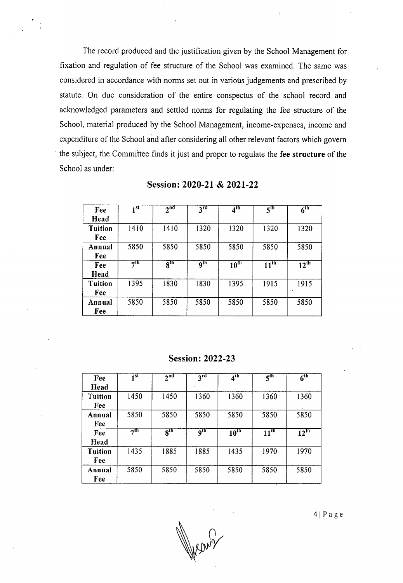The record produced and the justification given by the School Management for fixation and regulation of fee structure of the School was examined. The same was considered in accordance with norms set out in various judgements and prescribed by statute. On due consideration of the entire conspectus of the school record and acknowledged parameters and settled norms for regulating the fee structure of the School, material produced by the School Management, income-expenses, income and expenditure of the School and after considering all other relevant factors which govern the subject, the Committee finds it just and proper to regulate the **fee structure** of the School as under:

| Fee            | 1st       | 2 <sup>nd</sup>            | 3 <sup>rd</sup>              | 4 <sup>th</sup> | 5 <sup>th</sup> | $6^{\rm th}$     |
|----------------|-----------|----------------------------|------------------------------|-----------------|-----------------|------------------|
| Head           |           |                            |                              |                 |                 |                  |
| <b>Tuition</b> | 1410      | 1410                       | 1320                         | 1320            | 1320            | 1320             |
| Fee            |           |                            |                              |                 |                 |                  |
| Annual         | 5850      | 5850                       | 5850                         | 5850            | 5850            | 5850             |
| Fee            |           |                            |                              |                 |                 |                  |
| Fee            | $\neg$ th | $\overline{s}^{\text{th}}$ | $\overline{9}$ <sup>th</sup> | $10^{\rm th}$   | $11^{\rm th}$   | $12^{\text{th}}$ |
| Head           |           |                            |                              |                 |                 |                  |
| <b>Tuition</b> | 1395      | 1830                       | 1830                         | 1395            | 1915            | 1915             |
| Fee            |           |                            |                              |                 |                 |                  |
| Annual         | 5850      | 5850                       | 5850                         | 5850            | 5850            | 5850             |
| Fee            |           |                            |                              |                 |                 |                  |

Session: 2020-21 & 2021-22

**Session:** 2022-23

| Fee                   | 1 st      | 2 <sup>nd</sup> | $3^{rd}$          | 4 <sup>th</sup>  | 5 <sup>th</sup>  | $6^{\rm th}$     |
|-----------------------|-----------|-----------------|-------------------|------------------|------------------|------------------|
| Head                  |           |                 |                   |                  |                  |                  |
| <b>Tuition</b><br>Fee | 1450      | 1450            | 1360              | 1360             | 1360             | 1360             |
| Annual<br>Fee         | 5850      | 5850            | 5850              | 5850             | 5850             | 5850             |
| Fee                   | $\neg$ th | 8 <sup>th</sup> | $\overline{9}$ th | $10^{\text{th}}$ | 11 <sup>th</sup> | $12^{\text{th}}$ |
| Head                  |           |                 |                   |                  |                  |                  |
| <b>Tuition</b><br>Fee | 1435      | 1885            | 1885              | 1435             | 1970             | 1970             |
| Annual<br>Fee         | 5850      | 5850            | 5850              | 5850             | 5850             | 5850             |

 $4 | P a g e$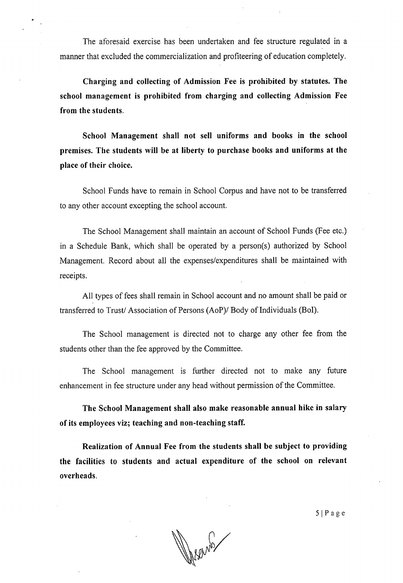The aforesaid exercise has been undertaken and fee structure regulated in a manner that excluded the commercialization and profiteering of education completely.

**Charging and collecting of Admission Fee is prohibited by statutes. The school management is prohibited from charging and collecting Admission Fee from the students.** 

**School Management shall not sell uniforms and books in the school premises. The students will be at liberty to purchase books and uniforms at the place of their choice.** 

School Funds have to remain in School Corpus and have not to be transferred to any other account excepting the school account.

The School Management shall maintain an account of School Funds (Fee etc.) in a Schedule Bank, which shall be operated by a person(s) authorized by School Management. Record about all the expenses/expenditures shall be maintained with receipts.

All types of fees shall remain in School account and no amount shall be paid or transferred to Trust/ Association of Persons (AoP)/ Body of Individuals (BoI).

The School management is directed not to charge any other fee from the students other than the fee approved by the Committee.

The School management is further directed not to make any future enhancement in fee structure under any head without permission of the Committee.

**The School Management shall also make reasonable annual hike in salary of its employees viz; teaching and non-teaching staff.** 

**Realization of Annual Fee from the students shall be subject to providing the facilities to students and actual expenditure of the school on relevant overheads.** 

*<sup>5</sup>***1** P age

Wednesday